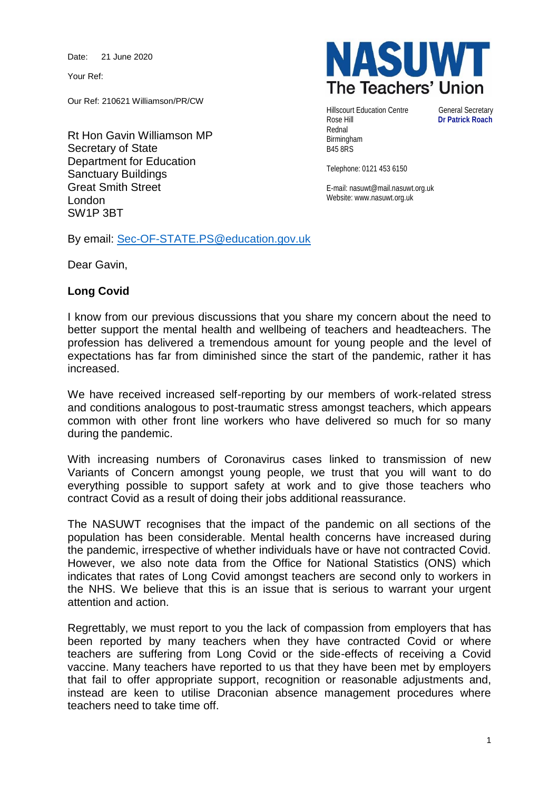Date: 21 June 2020

Your Ref:

Our Ref: 210621 Williamson/PR/CW

Rt Hon Gavin Williamson MP Secretary of State Department for Education Sanctuary Buildings Great Smith Street London SW1P 3BT



Hillscourt Education Centre General Secretary<br>
Rose Hill **Dr Patrick Roach** Rednal Birmingham B45 8RS

**Dr Patrick Roach** 

Telephone: 0121 453 6150

E-mail: nasuwt@mail.nasuwt.org.uk Website: www.nasuwt.org.uk

By email: [Sec-OF-STATE.PS@education.gov.uk](mailto:Sec-OF-STATE.PS@education.gov.uk)

Dear Gavin,

## **Long Covid**

I know from our previous discussions that you share my concern about the need to better support the mental health and wellbeing of teachers and headteachers. The profession has delivered a tremendous amount for young people and the level of expectations has far from diminished since the start of the pandemic, rather it has increased.

We have received increased self-reporting by our members of work-related stress and conditions analogous to post-traumatic stress amongst teachers, which appears common with other front line workers who have delivered so much for so many during the pandemic.

With increasing numbers of Coronavirus cases linked to transmission of new Variants of Concern amongst young people, we trust that you will want to do everything possible to support safety at work and to give those teachers who contract Covid as a result of doing their jobs additional reassurance.

The NASUWT recognises that the impact of the pandemic on all sections of the population has been considerable. Mental health concerns have increased during the pandemic, irrespective of whether individuals have or have not contracted Covid. However, we also note data from the Office for National Statistics (ONS) which indicates that rates of Long Covid amongst teachers are second only to workers in the NHS. We believe that this is an issue that is serious to warrant your urgent attention and action.

Regrettably, we must report to you the lack of compassion from employers that has been reported by many teachers when they have contracted Covid or where teachers are suffering from Long Covid or the side-effects of receiving a Covid vaccine. Many teachers have reported to us that they have been met by employers that fail to offer appropriate support, recognition or reasonable adjustments and, instead are keen to utilise Draconian absence management procedures where teachers need to take time off.